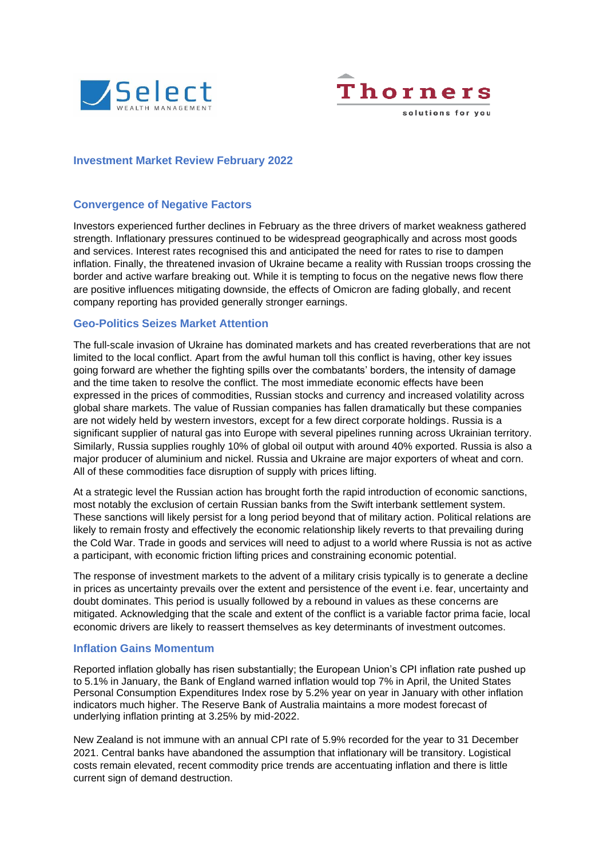



# **Investment Market Review February 2022**

# **Convergence of Negative Factors**

Investors experienced further declines in February as the three drivers of market weakness gathered strength. Inflationary pressures continued to be widespread geographically and across most goods and services. Interest rates recognised this and anticipated the need for rates to rise to dampen inflation. Finally, the threatened invasion of Ukraine became a reality with Russian troops crossing the border and active warfare breaking out. While it is tempting to focus on the negative news flow there are positive influences mitigating downside, the effects of Omicron are fading globally, and recent company reporting has provided generally stronger earnings.

## **Geo-Politics Seizes Market Attention**

The full-scale invasion of Ukraine has dominated markets and has created reverberations that are not limited to the local conflict. Apart from the awful human toll this conflict is having, other key issues going forward are whether the fighting spills over the combatants' borders, the intensity of damage and the time taken to resolve the conflict. The most immediate economic effects have been expressed in the prices of commodities, Russian stocks and currency and increased volatility across global share markets. The value of Russian companies has fallen dramatically but these companies are not widely held by western investors, except for a few direct corporate holdings. Russia is a significant supplier of natural gas into Europe with several pipelines running across Ukrainian territory. Similarly, Russia supplies roughly 10% of global oil output with around 40% exported. Russia is also a major producer of aluminium and nickel. Russia and Ukraine are major exporters of wheat and corn. All of these commodities face disruption of supply with prices lifting.

At a strategic level the Russian action has brought forth the rapid introduction of economic sanctions, most notably the exclusion of certain Russian banks from the Swift interbank settlement system. These sanctions will likely persist for a long period beyond that of military action. Political relations are likely to remain frosty and effectively the economic relationship likely reverts to that prevailing during the Cold War. Trade in goods and services will need to adjust to a world where Russia is not as active a participant, with economic friction lifting prices and constraining economic potential.

The response of investment markets to the advent of a military crisis typically is to generate a decline in prices as uncertainty prevails over the extent and persistence of the event i.e. fear, uncertainty and doubt dominates. This period is usually followed by a rebound in values as these concerns are mitigated. Acknowledging that the scale and extent of the conflict is a variable factor prima facie, local economic drivers are likely to reassert themselves as key determinants of investment outcomes.

#### **Inflation Gains Momentum**

Reported inflation globally has risen substantially; the European Union's CPI inflation rate pushed up to 5.1% in January, the Bank of England warned inflation would top 7% in April, the United States Personal Consumption Expenditures Index rose by 5.2% year on year in January with other inflation indicators much higher. The Reserve Bank of Australia maintains a more modest forecast of underlying inflation printing at 3.25% by mid-2022.

New Zealand is not immune with an annual CPI rate of 5.9% recorded for the year to 31 December 2021. Central banks have abandoned the assumption that inflationary will be transitory. Logistical costs remain elevated, recent commodity price trends are accentuating inflation and there is little current sign of demand destruction.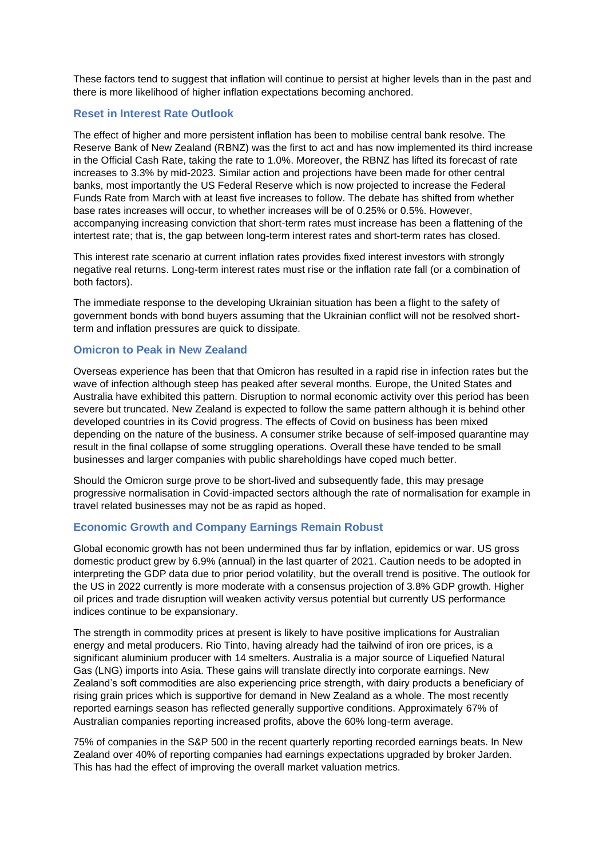These factors tend to suggest that inflation will continue to persist at higher levels than in the past and there is more likelihood of higher inflation expectations becoming anchored.

# **Reset in Interest Rate Outlook**

The effect of higher and more persistent inflation has been to mobilise central bank resolve. The Reserve Bank of New Zealand (RBNZ) was the first to act and has now implemented its third increase in the Official Cash Rate, taking the rate to 1.0%. Moreover, the RBNZ has lifted its forecast of rate increases to 3.3% by mid-2023. Similar action and projections have been made for other central banks, most importantly the US Federal Reserve which is now projected to increase the Federal Funds Rate from March with at least five increases to follow. The debate has shifted from whether base rates increases will occur, to whether increases will be of 0.25% or 0.5%. However, accompanying increasing conviction that short-term rates must increase has been a flattening of the intertest rate; that is, the gap between long-term interest rates and short-term rates has closed.

This interest rate scenario at current inflation rates provides fixed interest investors with strongly negative real returns. Long-term interest rates must rise or the inflation rate fall (or a combination of both factors).

The immediate response to the developing Ukrainian situation has been a flight to the safety of government bonds with bond buyers assuming that the Ukrainian conflict will not be resolved shortterm and inflation pressures are quick to dissipate.

## **Omicron to Peak in New Zealand**

Overseas experience has been that that Omicron has resulted in a rapid rise in infection rates but the wave of infection although steep has peaked after several months. Europe, the United States and Australia have exhibited this pattern. Disruption to normal economic activity over this period has been severe but truncated. New Zealand is expected to follow the same pattern although it is behind other developed countries in its Covid progress. The effects of Covid on business has been mixed depending on the nature of the business. A consumer strike because of self-imposed quarantine may result in the final collapse of some struggling operations. Overall these have tended to be small businesses and larger companies with public shareholdings have coped much better.

Should the Omicron surge prove to be short-lived and subsequently fade, this may presage progressive normalisation in Covid-impacted sectors although the rate of normalisation for example in travel related businesses may not be as rapid as hoped.

#### **Economic Growth and Company Earnings Remain Robust**

Global economic growth has not been undermined thus far by inflation, epidemics or war. US gross domestic product grew by 6.9% (annual) in the last quarter of 2021. Caution needs to be adopted in interpreting the GDP data due to prior period volatility, but the overall trend is positive. The outlook for the US in 2022 currently is more moderate with a consensus projection of 3.8% GDP growth. Higher oil prices and trade disruption will weaken activity versus potential but currently US performance indices continue to be expansionary.

The strength in commodity prices at present is likely to have positive implications for Australian energy and metal producers. Rio Tinto, having already had the tailwind of iron ore prices, is a significant aluminium producer with 14 smelters. Australia is a major source of Liquefied Natural Gas (LNG) imports into Asia. These gains will translate directly into corporate earnings. New Zealand's soft commodities are also experiencing price strength, with dairy products a beneficiary of rising grain prices which is supportive for demand in New Zealand as a whole. The most recently reported earnings season has reflected generally supportive conditions. Approximately 67% of Australian companies reporting increased profits, above the 60% long-term average.

75% of companies in the S&P 500 in the recent quarterly reporting recorded earnings beats. In New Zealand over 40% of reporting companies had earnings expectations upgraded by broker Jarden. This has had the effect of improving the overall market valuation metrics.